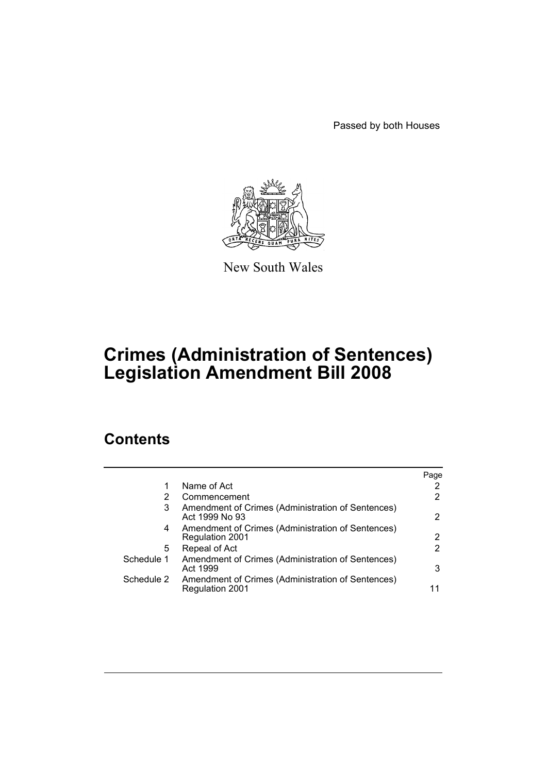Passed by both Houses



New South Wales

# **Crimes (Administration of Sentences) Legislation Amendment Bill 2008**

# **Contents**

|            |                                                                      | Page                  |
|------------|----------------------------------------------------------------------|-----------------------|
|            | Name of Act                                                          | 2                     |
| 2          | Commencement                                                         | $\mathbf{2}^{\prime}$ |
| 3          | Amendment of Crimes (Administration of Sentences)<br>Act 1999 No 93  | 2                     |
| 4          | Amendment of Crimes (Administration of Sentences)<br>Regulation 2001 | 2                     |
| 5          | Repeal of Act                                                        | $\mathbf{2}^{\prime}$ |
| Schedule 1 | Amendment of Crimes (Administration of Sentences)<br>Act 1999        | 3                     |
| Schedule 2 | Amendment of Crimes (Administration of Sentences)<br>Regulation 2001 | 11                    |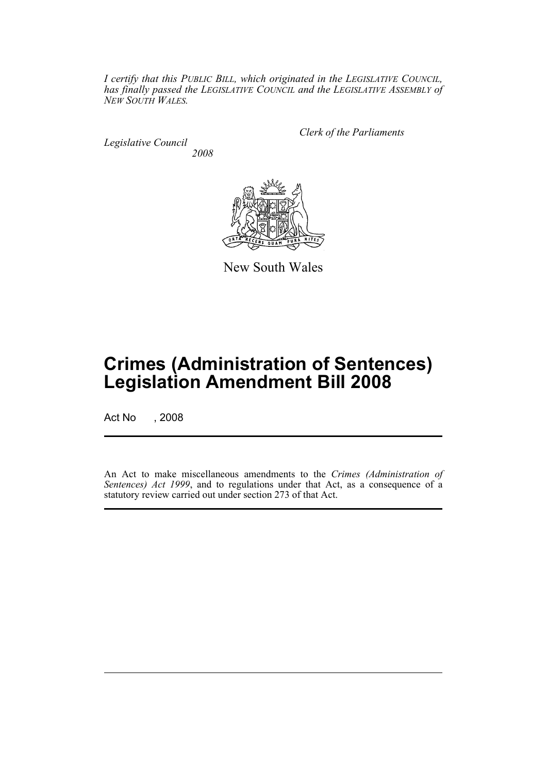*I certify that this PUBLIC BILL, which originated in the LEGISLATIVE COUNCIL, has finally passed the LEGISLATIVE COUNCIL and the LEGISLATIVE ASSEMBLY of NEW SOUTH WALES.*

*Legislative Council 2008* *Clerk of the Parliaments*



New South Wales

# **Crimes (Administration of Sentences) Legislation Amendment Bill 2008**

Act No , 2008

An Act to make miscellaneous amendments to the *Crimes (Administration of Sentences) Act 1999*, and to regulations under that Act, as a consequence of a statutory review carried out under section 273 of that Act.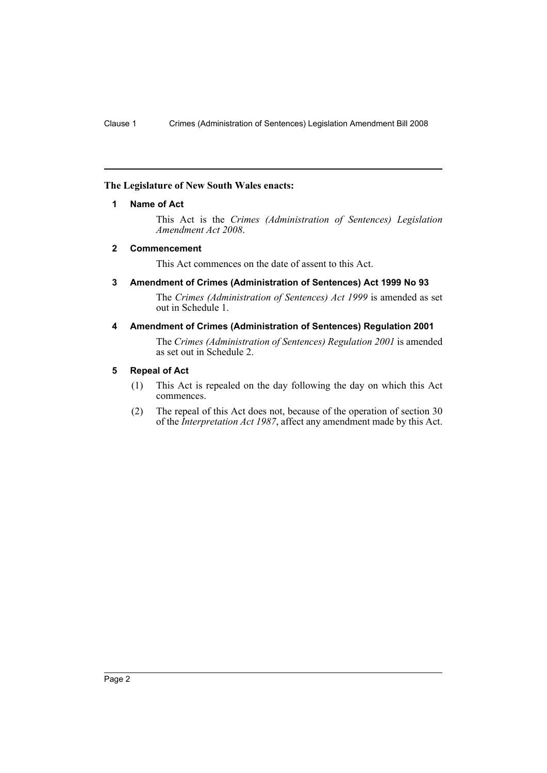# <span id="page-2-0"></span>**The Legislature of New South Wales enacts:**

# **1 Name of Act**

This Act is the *Crimes (Administration of Sentences) Legislation Amendment Act 2008*.

# <span id="page-2-1"></span>**2 Commencement**

This Act commences on the date of assent to this Act.

<span id="page-2-2"></span>**3 Amendment of Crimes (Administration of Sentences) Act 1999 No 93**

The *Crimes (Administration of Sentences) Act 1999* is amended as set out in Schedule 1.

# <span id="page-2-3"></span>**4 Amendment of Crimes (Administration of Sentences) Regulation 2001**

The *Crimes (Administration of Sentences) Regulation 2001* is amended as set out in Schedule 2.

# <span id="page-2-4"></span>**5 Repeal of Act**

- (1) This Act is repealed on the day following the day on which this Act commences.
- (2) The repeal of this Act does not, because of the operation of section 30 of the *Interpretation Act 1987*, affect any amendment made by this Act.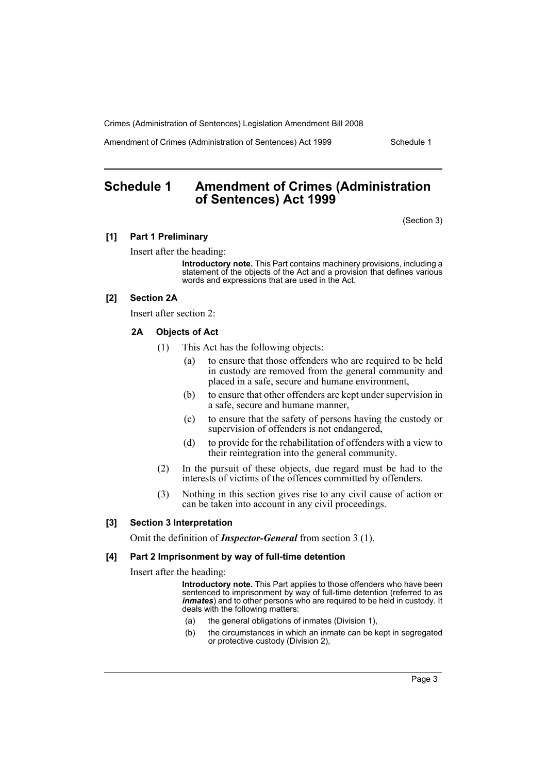Amendment of Crimes (Administration of Sentences) Act 1999 Schedule 1

# <span id="page-3-0"></span>**Schedule 1 Amendment of Crimes (Administration of Sentences) Act 1999**

(Section 3)

#### **[1] Part 1 Preliminary**

Insert after the heading:

**Introductory note.** This Part contains machinery provisions, including a statement of the objects of the Act and a provision that defines various words and expressions that are used in the Act.

# **[2] Section 2A**

Insert after section 2:

#### **2A Objects of Act**

- (1) This Act has the following objects:
	- (a) to ensure that those offenders who are required to be held in custody are removed from the general community and placed in a safe, secure and humane environment,
	- (b) to ensure that other offenders are kept under supervision in a safe, secure and humane manner,
	- (c) to ensure that the safety of persons having the custody or supervision of offenders is not endangered,
	- (d) to provide for the rehabilitation of offenders with a view to their reintegration into the general community.
- (2) In the pursuit of these objects, due regard must be had to the interests of victims of the offences committed by offenders.
- (3) Nothing in this section gives rise to any civil cause of action or can be taken into account in any civil proceedings.

#### **[3] Section 3 Interpretation**

Omit the definition of *Inspector-General* from section 3 (1).

# **[4] Part 2 Imprisonment by way of full-time detention**

Insert after the heading:

**Introductory note.** This Part applies to those offenders who have been sentenced to imprisonment by way of full-time detention (referred to as *inmates*) and to other persons who are required to be held in custody. It deals with the following matters:

- (a) the general obligations of inmates (Division 1),
- (b) the circumstances in which an inmate can be kept in segregated or protective custody (Division 2),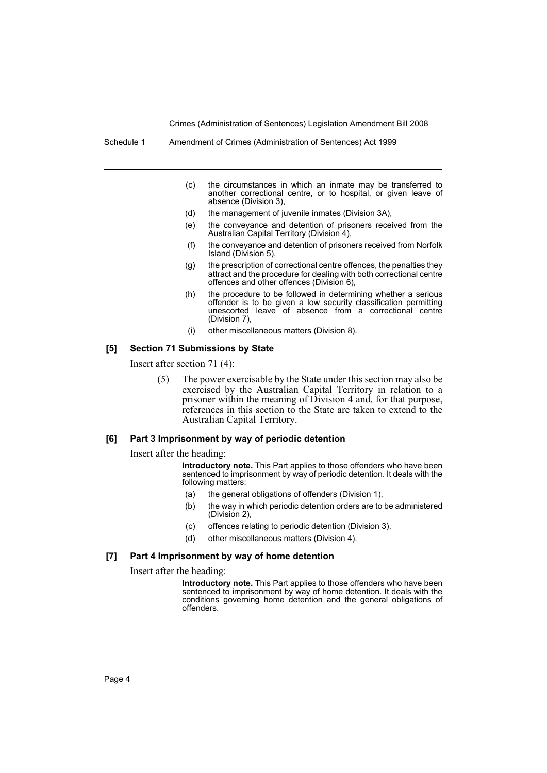Schedule 1 Amendment of Crimes (Administration of Sentences) Act 1999

- (c) the circumstances in which an inmate may be transferred to another correctional centre, or to hospital, or given leave of absence (Division 3),
- (d) the management of juvenile inmates (Division 3A),
- (e) the conveyance and detention of prisoners received from the Australian Capital Territory (Division 4),
- (f) the conveyance and detention of prisoners received from Norfolk Island (Division 5),
- (g) the prescription of correctional centre offences, the penalties they attract and the procedure for dealing with both correctional centre offences and other offences (Division 6),
- (h) the procedure to be followed in determining whether a serious offender is to be given a low security classification permitting unescorted leave of absence from a correctional centre (Division 7),
- (i) other miscellaneous matters (Division 8).

#### **[5] Section 71 Submissions by State**

Insert after section 71 (4):

(5) The power exercisable by the State under this section may also be exercised by the Australian Capital Territory in relation to a prisoner within the meaning of Division 4 and, for that purpose, references in this section to the State are taken to extend to the Australian Capital Territory.

#### **[6] Part 3 Imprisonment by way of periodic detention**

Insert after the heading:

**Introductory note.** This Part applies to those offenders who have been sentenced to imprisonment by way of periodic detention. It deals with the following matters:

- (a) the general obligations of offenders (Division 1),
- (b) the way in which periodic detention orders are to be administered (Division 2),
- (c) offences relating to periodic detention (Division 3),
- (d) other miscellaneous matters (Division 4).

#### **[7] Part 4 Imprisonment by way of home detention**

Insert after the heading:

**Introductory note.** This Part applies to those offenders who have been sentenced to imprisonment by way of home detention. It deals with the conditions governing home detention and the general obligations of offenders.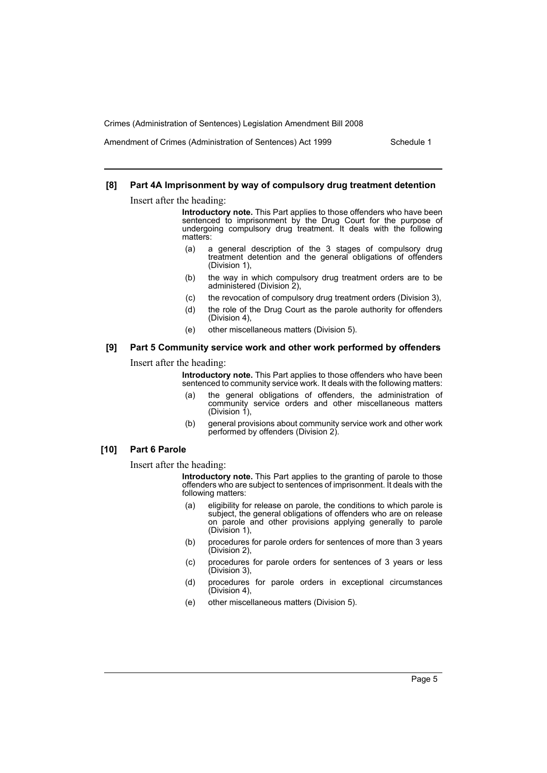Amendment of Crimes (Administration of Sentences) Act 1999 Schedule 1

### **[8] Part 4A Imprisonment by way of compulsory drug treatment detention**

Insert after the heading:

**Introductory note.** This Part applies to those offenders who have been sentenced to imprisonment by the Drug Court for the purpose of undergoing compulsory drug treatment. It deals with the following matters:

- (a) a general description of the 3 stages of compulsory drug treatment detention and the general obligations of offenders (Division 1),
- (b) the way in which compulsory drug treatment orders are to be administered (Division 2),
- (c) the revocation of compulsory drug treatment orders (Division 3),
- (d) the role of the Drug Court as the parole authority for offenders (Division 4),
- (e) other miscellaneous matters (Division 5).

# **[9] Part 5 Community service work and other work performed by offenders**

Insert after the heading:

**Introductory note.** This Part applies to those offenders who have been sentenced to community service work. It deals with the following matters:

- (a) the general obligations of offenders, the administration of community service orders and other miscellaneous matters (Division  $1$ ),
- (b) general provisions about community service work and other work performed by offenders (Division 2).

#### **[10] Part 6 Parole**

Insert after the heading:

**Introductory note.** This Part applies to the granting of parole to those offenders who are subject to sentences of imprisonment. It deals with the following matters:

- (a) eligibility for release on parole, the conditions to which parole is subject, the general obligations of offenders who are on release on parole and other provisions applying generally to parole (Division 1),
- (b) procedures for parole orders for sentences of more than 3 years (Division 2),
- (c) procedures for parole orders for sentences of 3 years or less (Division 3),
- (d) procedures for parole orders in exceptional circumstances (Division 4),
- (e) other miscellaneous matters (Division 5).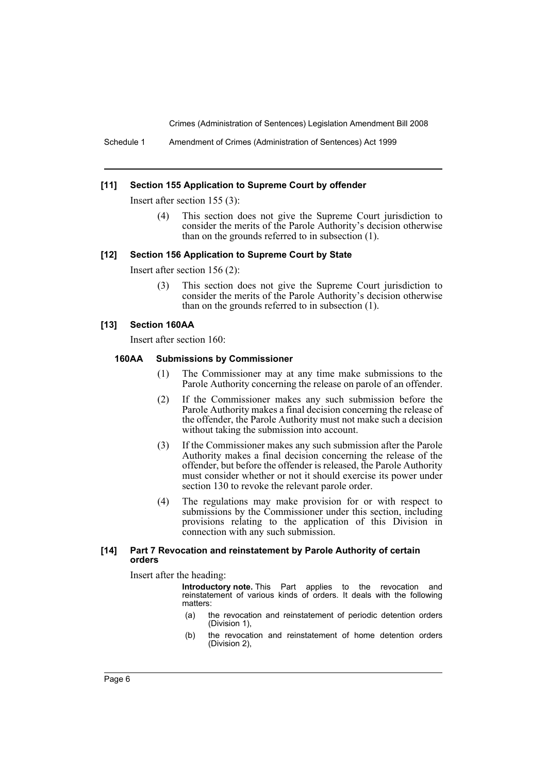Schedule 1 Amendment of Crimes (Administration of Sentences) Act 1999

#### **[11] Section 155 Application to Supreme Court by offender**

Insert after section 155 (3):

(4) This section does not give the Supreme Court jurisdiction to consider the merits of the Parole Authority's decision otherwise than on the grounds referred to in subsection (1).

#### **[12] Section 156 Application to Supreme Court by State**

Insert after section 156 (2):

(3) This section does not give the Supreme Court jurisdiction to consider the merits of the Parole Authority's decision otherwise than on the grounds referred to in subsection (1).

#### **[13] Section 160AA**

Insert after section 160:

### **160AA Submissions by Commissioner**

- (1) The Commissioner may at any time make submissions to the Parole Authority concerning the release on parole of an offender.
- (2) If the Commissioner makes any such submission before the Parole Authority makes a final decision concerning the release of the offender, the Parole Authority must not make such a decision without taking the submission into account.
- (3) If the Commissioner makes any such submission after the Parole Authority makes a final decision concerning the release of the offender, but before the offender is released, the Parole Authority must consider whether or not it should exercise its power under section 130 to revoke the relevant parole order.
- (4) The regulations may make provision for or with respect to submissions by the Commissioner under this section, including provisions relating to the application of this Division in connection with any such submission.

#### **[14] Part 7 Revocation and reinstatement by Parole Authority of certain orders**

Insert after the heading:

**Introductory note.** This Part applies to the revocation and reinstatement of various kinds of orders. It deals with the following matters:

- (a) the revocation and reinstatement of periodic detention orders (Division 1),
- (b) the revocation and reinstatement of home detention orders (Division 2),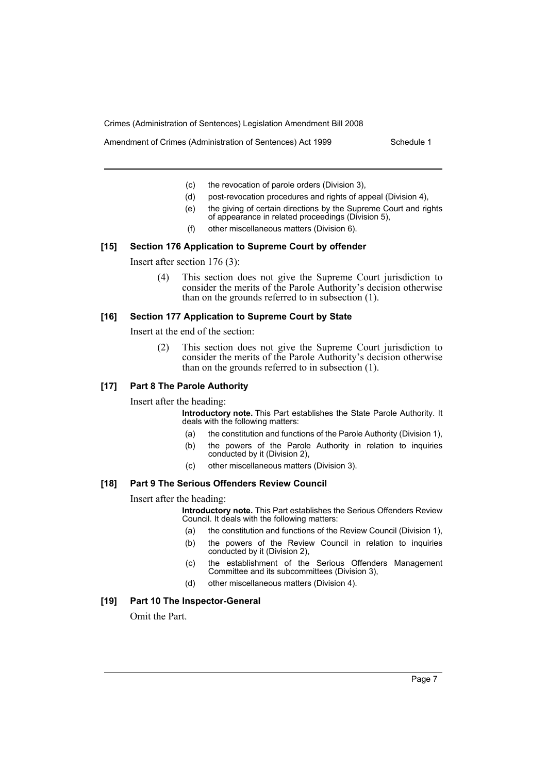Amendment of Crimes (Administration of Sentences) Act 1999 Schedule 1

- (c) the revocation of parole orders (Division 3),
- (d) post-revocation procedures and rights of appeal (Division 4),
- (e) the giving of certain directions by the Supreme Court and rights of appearance in related proceedings (Division 5),
- (f) other miscellaneous matters (Division 6).

#### **[15] Section 176 Application to Supreme Court by offender**

Insert after section 176 (3):

(4) This section does not give the Supreme Court jurisdiction to consider the merits of the Parole Authority's decision otherwise than on the grounds referred to in subsection (1).

#### **[16] Section 177 Application to Supreme Court by State**

Insert at the end of the section:

(2) This section does not give the Supreme Court jurisdiction to consider the merits of the Parole Authority's decision otherwise than on the grounds referred to in subsection (1).

# **[17] Part 8 The Parole Authority**

Insert after the heading:

**Introductory note.** This Part establishes the State Parole Authority. It deals with the following matters:

- (a) the constitution and functions of the Parole Authority (Division 1),
- (b) the powers of the Parole Authority in relation to inquiries conducted by it (Division 2),
- (c) other miscellaneous matters (Division 3).

# **[18] Part 9 The Serious Offenders Review Council**

#### Insert after the heading:

**Introductory note.** This Part establishes the Serious Offenders Review Council. It deals with the following matters:

- (a) the constitution and functions of the Review Council (Division 1),
- (b) the powers of the Review Council in relation to inquiries conducted by it (Division 2),
- (c) the establishment of the Serious Offenders Management Committee and its subcommittees (Division 3),
- (d) other miscellaneous matters (Division 4).

#### **[19] Part 10 The Inspector-General**

Omit the Part.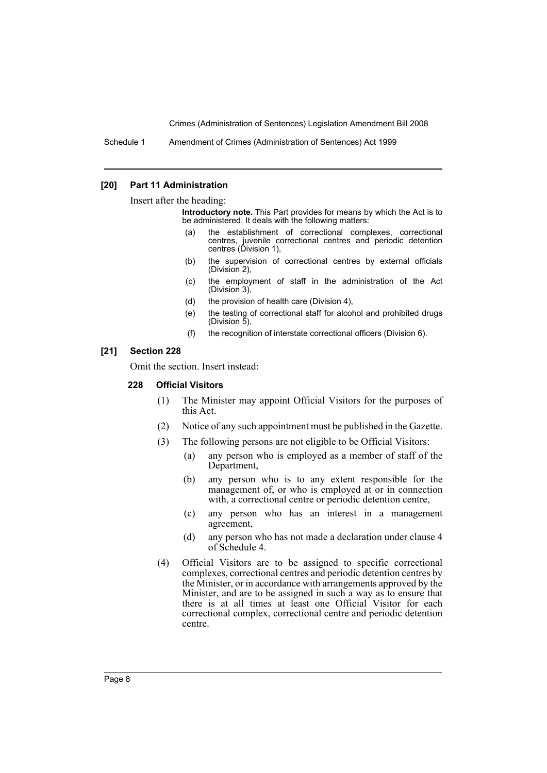Schedule 1 Amendment of Crimes (Administration of Sentences) Act 1999

#### **[20] Part 11 Administration**

Insert after the heading:

**Introductory note.** This Part provides for means by which the Act is to be administered. It deals with the following matters:

- (a) the establishment of correctional complexes, correctional centres, juvenile correctional centres and periodic detention centres (Division 1),
- (b) the supervision of correctional centres by external officials (Division 2),
- (c) the employment of staff in the administration of the Act (Division 3),
- (d) the provision of health care (Division 4),
- (e) the testing of correctional staff for alcohol and prohibited drugs (Division 5),
- (f) the recognition of interstate correctional officers (Division 6).

#### **[21] Section 228**

Omit the section. Insert instead:

# **228 Official Visitors**

- (1) The Minister may appoint Official Visitors for the purposes of this Act.
- (2) Notice of any such appointment must be published in the Gazette.
- (3) The following persons are not eligible to be Official Visitors:
	- (a) any person who is employed as a member of staff of the Department,
	- (b) any person who is to any extent responsible for the management of, or who is employed at or in connection with, a correctional centre or periodic detention centre,
	- (c) any person who has an interest in a management agreement,
	- (d) any person who has not made a declaration under clause 4 of Schedule 4.
- (4) Official Visitors are to be assigned to specific correctional complexes, correctional centres and periodic detention centres by the Minister, or in accordance with arrangements approved by the Minister, and are to be assigned in such a way as to ensure that there is at all times at least one Official Visitor for each correctional complex, correctional centre and periodic detention centre.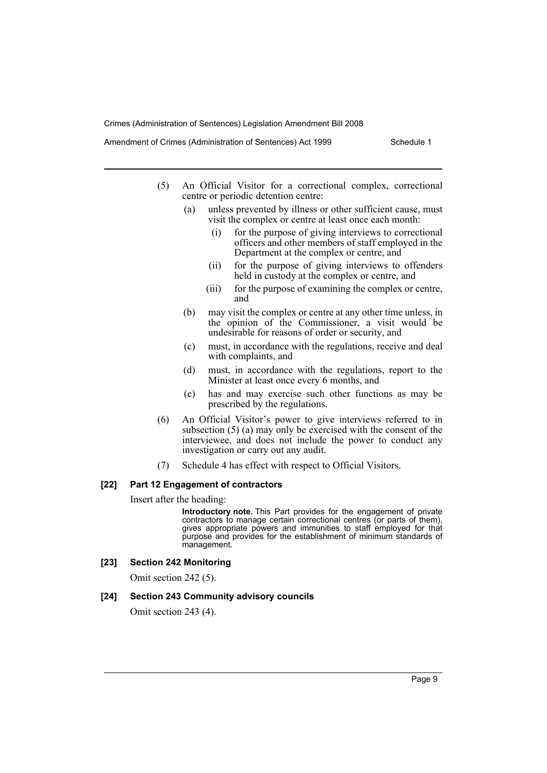Amendment of Crimes (Administration of Sentences) Act 1999 Schedule 1

- (5) An Official Visitor for a correctional complex, correctional centre or periodic detention centre:
	- (a) unless prevented by illness or other sufficient cause, must visit the complex or centre at least once each month:
		- (i) for the purpose of giving interviews to correctional officers and other members of staff employed in the Department at the complex or centre, and
		- (ii) for the purpose of giving interviews to offenders held in custody at the complex or centre, and
		- (iii) for the purpose of examining the complex or centre, and
	- (b) may visit the complex or centre at any other time unless, in the opinion of the Commissioner, a visit would be undesirable for reasons of order or security, and
	- (c) must, in accordance with the regulations, receive and deal with complaints, and
	- (d) must, in accordance with the regulations, report to the Minister at least once every 6 months, and
	- (e) has and may exercise such other functions as may be prescribed by the regulations.
- (6) An Official Visitor's power to give interviews referred to in subsection  $(5)$  (a) may only be exercised with the consent of the interviewee, and does not include the power to conduct any investigation or carry out any audit.
- (7) Schedule 4 has effect with respect to Official Visitors.

#### **[22] Part 12 Engagement of contractors**

Insert after the heading:

**Introductory note.** This Part provides for the engagement of private contractors to manage certain correctional centres (or parts of them), gives appropriate powers and immunities to staff employed for that purpose and provides for the establishment of minimum standards of management.

#### **[23] Section 242 Monitoring**

Omit section 242 (5).

#### **[24] Section 243 Community advisory councils**

Omit section 243 (4).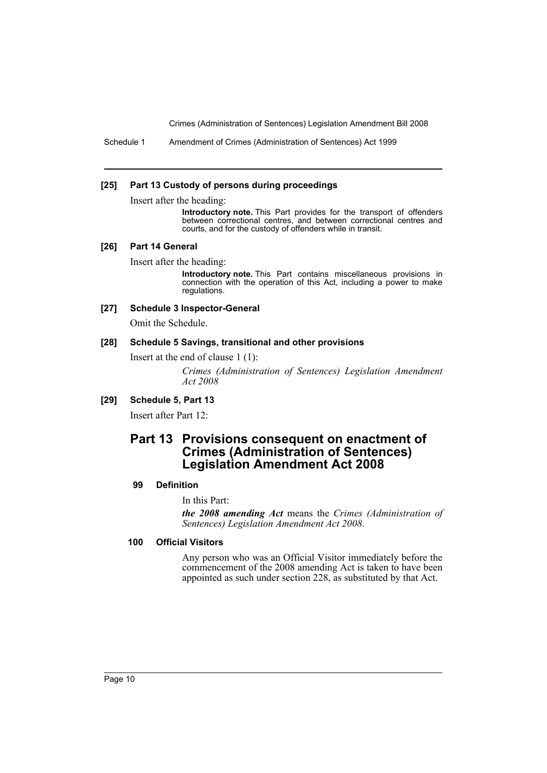Schedule 1 Amendment of Crimes (Administration of Sentences) Act 1999

#### **[25] Part 13 Custody of persons during proceedings**

Insert after the heading:

**Introductory note.** This Part provides for the transport of offenders between correctional centres, and between correctional centres and courts, and for the custody of offenders while in transit.

#### **[26] Part 14 General**

Insert after the heading:

**Introductory note.** This Part contains miscellaneous provisions in connection with the operation of this Act, including a power to make regulations.

#### **[27] Schedule 3 Inspector-General**

Omit the Schedule.

#### **[28] Schedule 5 Savings, transitional and other provisions**

Insert at the end of clause 1 (1):

*Crimes (Administration of Sentences) Legislation Amendment Act 2008*

# **[29] Schedule 5, Part 13**

Insert after Part 12:

# **Part 13 Provisions consequent on enactment of Crimes (Administration of Sentences) Legislation Amendment Act 2008**

#### **99 Definition**

In this Part:

*the 2008 amending Act* means the *Crimes (Administration of Sentences) Legislation Amendment Act 2008*.

# **100 Official Visitors**

Any person who was an Official Visitor immediately before the commencement of the 2008 amending Act is taken to have been appointed as such under section 228, as substituted by that Act.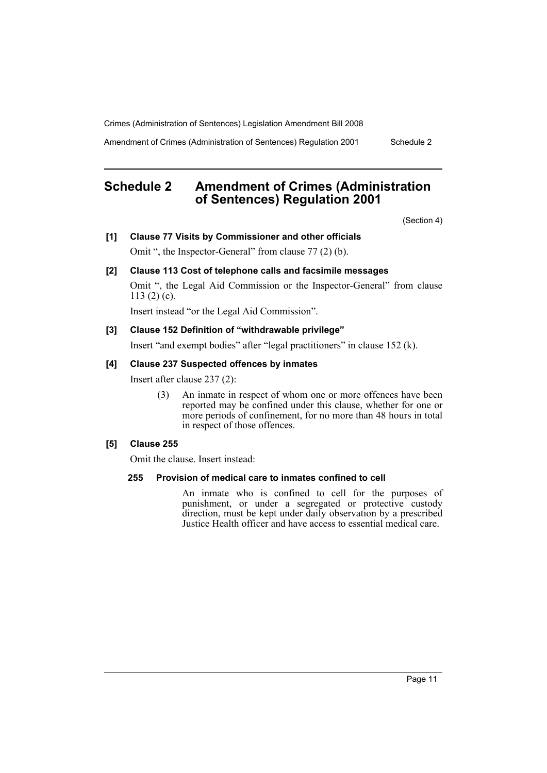Amendment of Crimes (Administration of Sentences) Regulation 2001 Schedule 2

# **Schedule 2 Amendment of Crimes (Administration of Sentences) Regulation 2001**

(Section 4)

#### **[1] Clause 77 Visits by Commissioner and other officials**

Omit ", the Inspector-General" from clause 77 (2) (b).

# **[2] Clause 113 Cost of telephone calls and facsimile messages**

Omit ", the Legal Aid Commission or the Inspector-General" from clause 113 $(2)$  $(c)$ .

Insert instead "or the Legal Aid Commission".

#### **[3] Clause 152 Definition of "withdrawable privilege"**

Insert "and exempt bodies" after "legal practitioners" in clause 152 (k).

#### **[4] Clause 237 Suspected offences by inmates**

Insert after clause 237 (2):

(3) An inmate in respect of whom one or more offences have been reported may be confined under this clause, whether for one or more periods of confinement, for no more than 48 hours in total in respect of those offences.

### **[5] Clause 255**

Omit the clause. Insert instead:

# **255 Provision of medical care to inmates confined to cell**

An inmate who is confined to cell for the purposes of punishment, or under a segregated or protective custody direction, must be kept under daily observation by a prescribed Justice Health officer and have access to essential medical care.